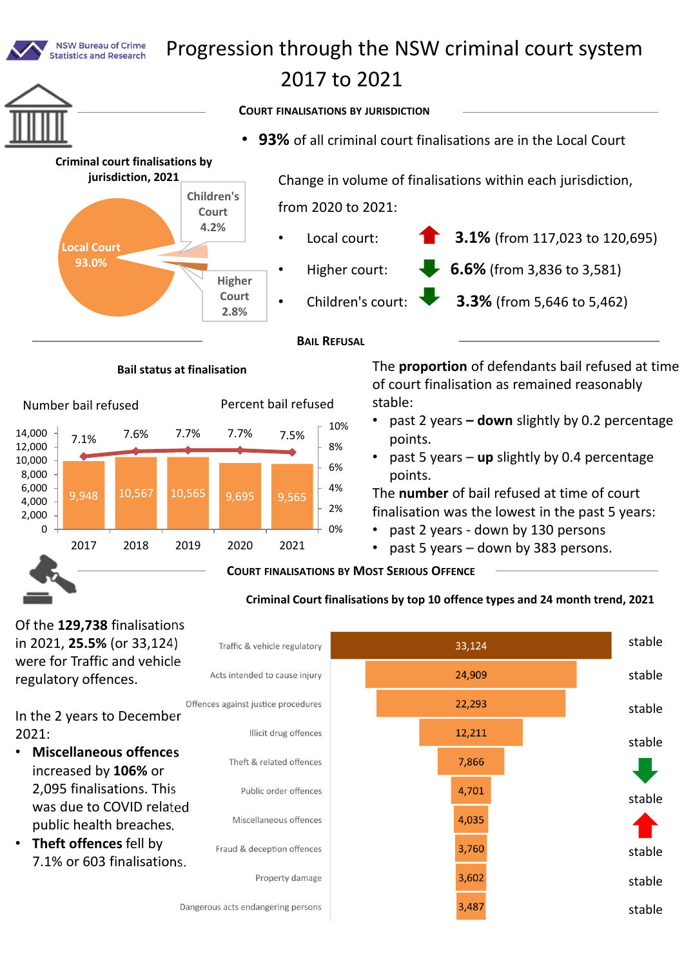

In the 2 years to December 2021:

- **Miscellaneous offences** increased by **106%** or 2,095 finalisations. This was due to COVID related public health breaches.
- **Theft offences** fell by 7.1% or 603 finalisations.



stable

stable

stable

stable

stable

stable

stable